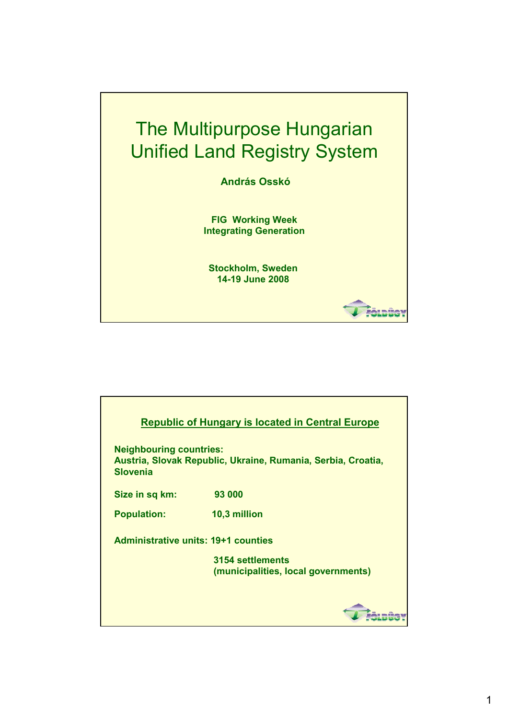

|                                                                                                                   | <b>Republic of Hungary is located in Central Europe</b> |  |
|-------------------------------------------------------------------------------------------------------------------|---------------------------------------------------------|--|
|                                                                                                                   |                                                         |  |
| <b>Neighbouring countries:</b><br>Austria, Slovak Republic, Ukraine, Rumania, Serbia, Croatia,<br><b>Slovenia</b> |                                                         |  |
| Size in sq km:                                                                                                    | 93 000                                                  |  |
| <b>Population:</b>                                                                                                | 10,3 million                                            |  |
| Administrative units: 19+1 counties                                                                               |                                                         |  |
|                                                                                                                   | 3154 settlements<br>(municipalities, local governments) |  |
|                                                                                                                   |                                                         |  |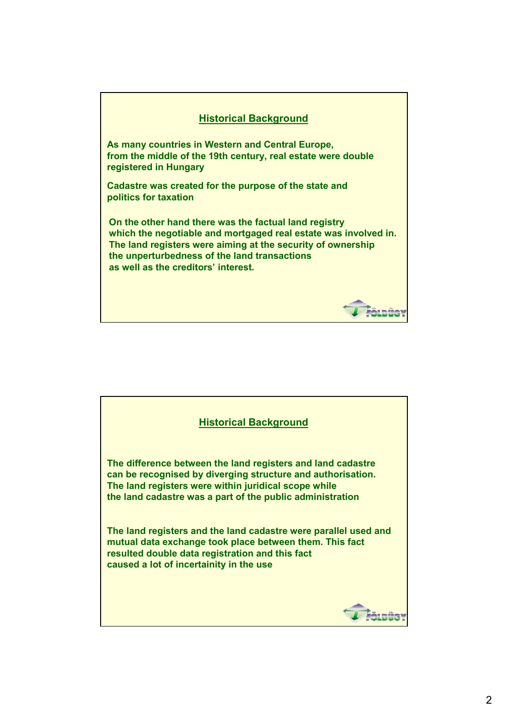

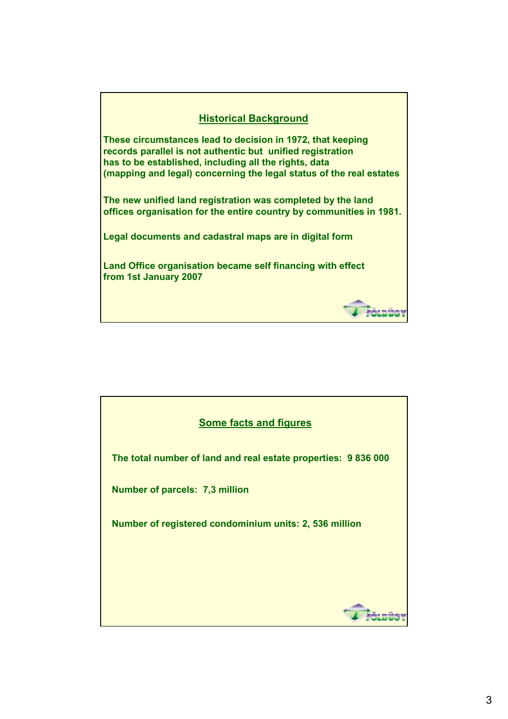| <b>Historical Background</b>                                                                                                                                                                                                                             |  |
|----------------------------------------------------------------------------------------------------------------------------------------------------------------------------------------------------------------------------------------------------------|--|
| These circumstances lead to decision in 1972, that keeping<br>records parallel is not authentic but unified registration<br>has to be established, including all the rights, data<br>(mapping and legal) concerning the legal status of the real estates |  |
| The new unified land registration was completed by the land<br>offices organisation for the entire country by communities in 1981.                                                                                                                       |  |
| Legal documents and cadastral maps are in digital form                                                                                                                                                                                                   |  |
| Land Office organisation became self financing with effect<br>from 1st January 2007                                                                                                                                                                      |  |
|                                                                                                                                                                                                                                                          |  |

**VI FÖLDÜ** 

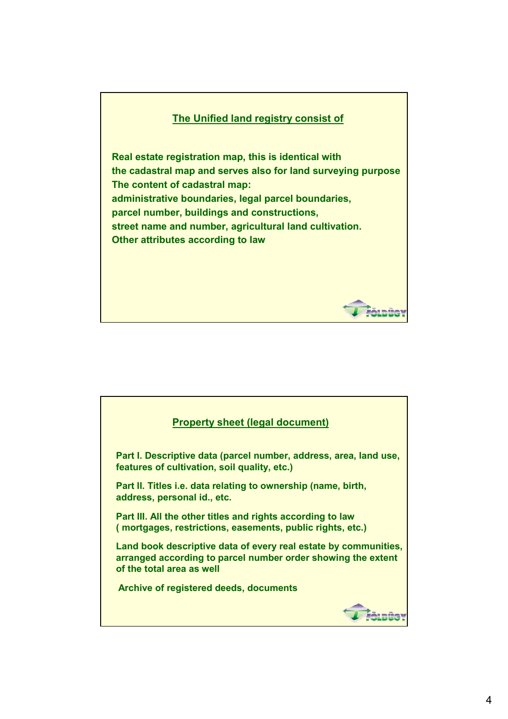## **The Unified land registry consist of**

**Real estate registration map, this is identical with the cadastral map and serves also for land surveying purpose The content of cadastral map: administrative boundaries, legal parcel boundaries, parcel number, buildings and constructions, street name and number, agricultural land cultivation. Other attributes according to law**

## **Property sheet (legal document) Part I. Descriptive data (parcel number, address, area, land use, features of cultivation, soil quality, etc.) Part II. Titles i.e. data relating to ownership (name, birth, address, personal id., etc. Part III. All the other titles and rights according to law ( mortgages, restrictions, easements, public rights, etc.) Land book descriptive data of every real estate by communities, arranged according to parcel number order showing the extent of the total area as well Archive of registered deeds, documents***Châtaüe*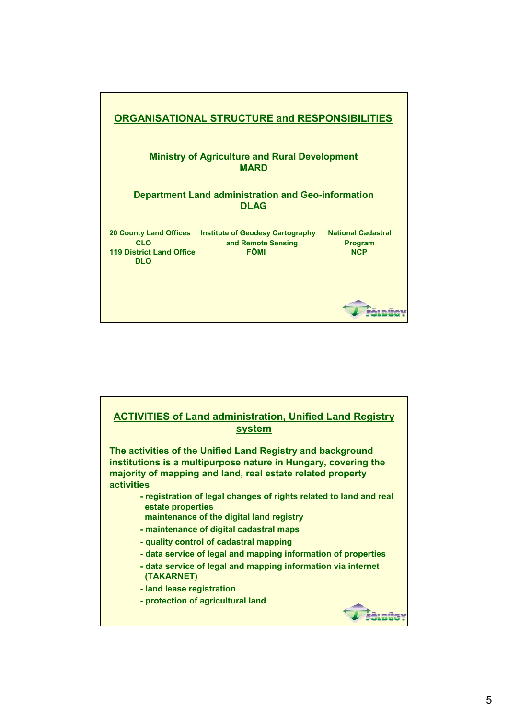

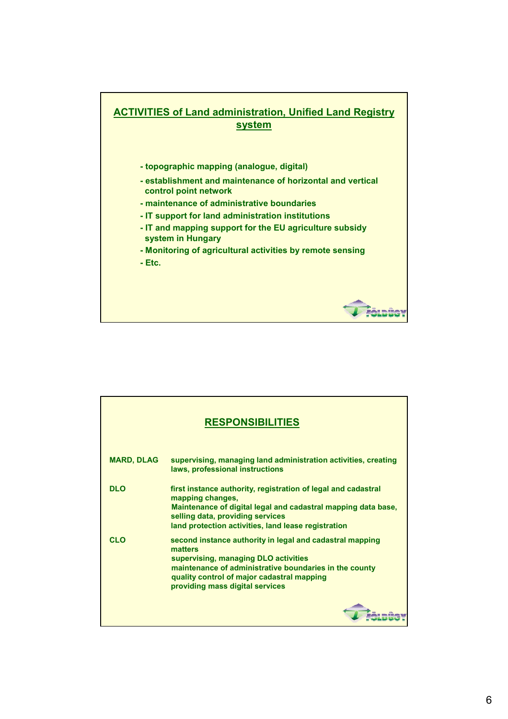

| <b>RESPONSIBILITIES</b> |                                                                                                                                                                                                                                                        |  |  |
|-------------------------|--------------------------------------------------------------------------------------------------------------------------------------------------------------------------------------------------------------------------------------------------------|--|--|
| <b>MARD, DLAG</b>       | supervising, managing land administration activities, creating<br>laws, professional instructions                                                                                                                                                      |  |  |
| <b>DLO</b>              | first instance authority, registration of legal and cadastral<br>mapping changes,<br>Maintenance of digital legal and cadastral mapping data base,<br>selling data, providing services<br>land protection activities, land lease registration          |  |  |
| <b>CLO</b>              | second instance authority in legal and cadastral mapping<br>matters<br>supervising, managing DLO activities<br>maintenance of administrative boundaries in the county<br>quality control of major cadastral mapping<br>providing mass digital services |  |  |
|                         |                                                                                                                                                                                                                                                        |  |  |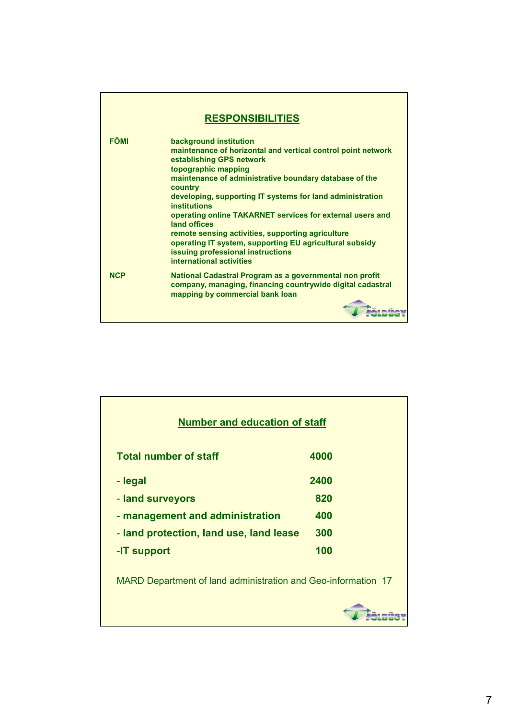| <b>RESPONSIBILITIES</b> |                                                                                                                                                                                                                                                                                                                                                                                                                                                                                                                                                                  |  |  |
|-------------------------|------------------------------------------------------------------------------------------------------------------------------------------------------------------------------------------------------------------------------------------------------------------------------------------------------------------------------------------------------------------------------------------------------------------------------------------------------------------------------------------------------------------------------------------------------------------|--|--|
| <b>FÖMI</b>             | background institution<br>maintenance of horizontal and vertical control point network<br>establishing GPS network<br>topographic mapping<br>maintenance of administrative boundary database of the<br>country<br>developing, supporting IT systems for land administration<br><b>institutions</b><br>operating online TAKARNET services for external users and<br>land offices<br>remote sensing activities, supporting agriculture<br>operating IT system, supporting EU agricultural subsidy<br>issuing professional instructions<br>international activities |  |  |
| <b>NCP</b>              | National Cadastral Program as a governmental non profit<br>company, managing, financing countrywide digital cadastral<br>mapping by commercial bank loan                                                                                                                                                                                                                                                                                                                                                                                                         |  |  |

| <b>Number and education of staff</b>                          |      |  |
|---------------------------------------------------------------|------|--|
| <b>Total number of staff</b>                                  | 4000 |  |
| - legal                                                       | 2400 |  |
| - land surveyors                                              | 820  |  |
| - management and administration                               | 400  |  |
| - land protection, land use, land lease                       | 300  |  |
| -IT support                                                   | 100  |  |
| MARD Department of land administration and Geo-information 17 |      |  |
|                                                               |      |  |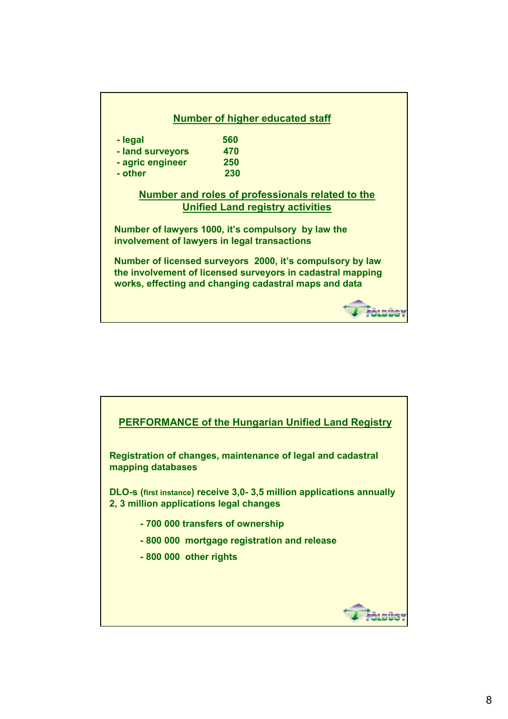|                  | <b>Number of higher educated staff</b><br>560                                                                                                                                    |
|------------------|----------------------------------------------------------------------------------------------------------------------------------------------------------------------------------|
| - legal          | 470                                                                                                                                                                              |
| - land surveyors |                                                                                                                                                                                  |
| - agric engineer | 250                                                                                                                                                                              |
| - other          | 230                                                                                                                                                                              |
|                  | Number and roles of professionals related to the                                                                                                                                 |
|                  | <b>Unified Land registry activities</b>                                                                                                                                          |
|                  | Number of lawyers 1000, it's compulsory by law the<br>involvement of lawyers in legal transactions                                                                               |
|                  | Number of licensed surveyors 2000, it's compulsory by law<br>the involvement of licensed surveyors in cadastral mapping<br>works, effecting and changing cadastral maps and data |
|                  |                                                                                                                                                                                  |

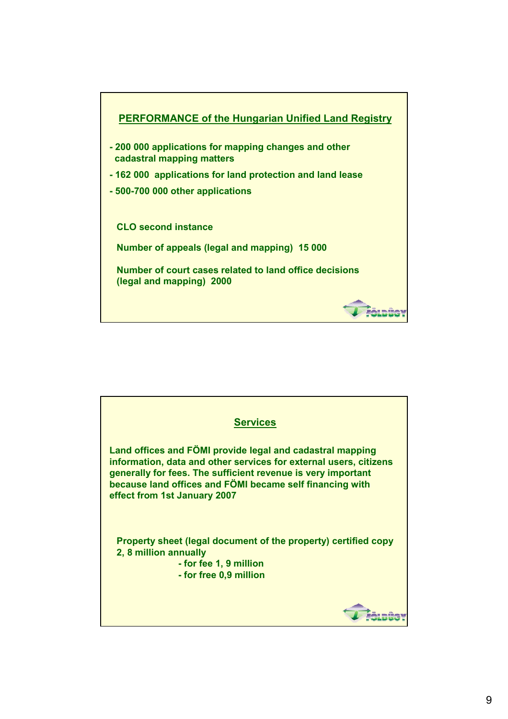

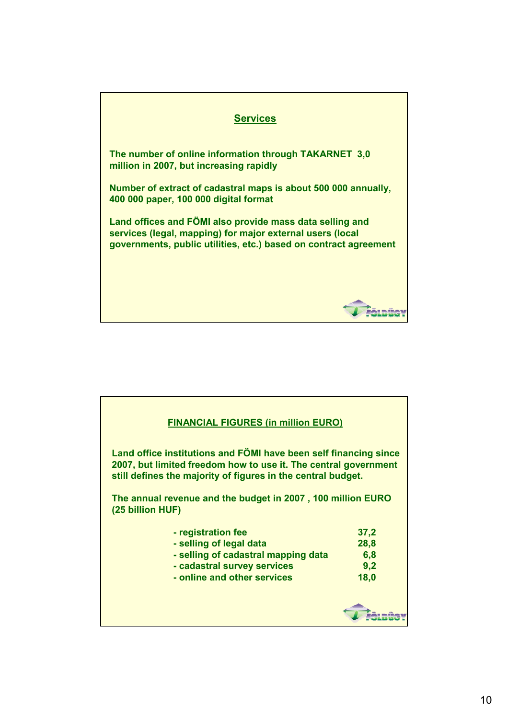

| <b>FINANCIAL FIGURES (in million EURO)</b>                                                                                                                                                          |      |  |
|-----------------------------------------------------------------------------------------------------------------------------------------------------------------------------------------------------|------|--|
| Land office institutions and FÖMI have been self financing since<br>2007, but limited freedom how to use it. The central government<br>still defines the majority of figures in the central budget. |      |  |
| The annual revenue and the budget in 2007, 100 million EURO<br>(25 billion HUF)                                                                                                                     |      |  |
| - registration fee                                                                                                                                                                                  | 37,2 |  |
| - selling of legal data                                                                                                                                                                             | 28,8 |  |
| - selling of cadastral mapping data                                                                                                                                                                 | 6,8  |  |
| - cadastral survey services                                                                                                                                                                         | 9,2  |  |
| - online and other services                                                                                                                                                                         | 18,0 |  |
|                                                                                                                                                                                                     |      |  |
|                                                                                                                                                                                                     |      |  |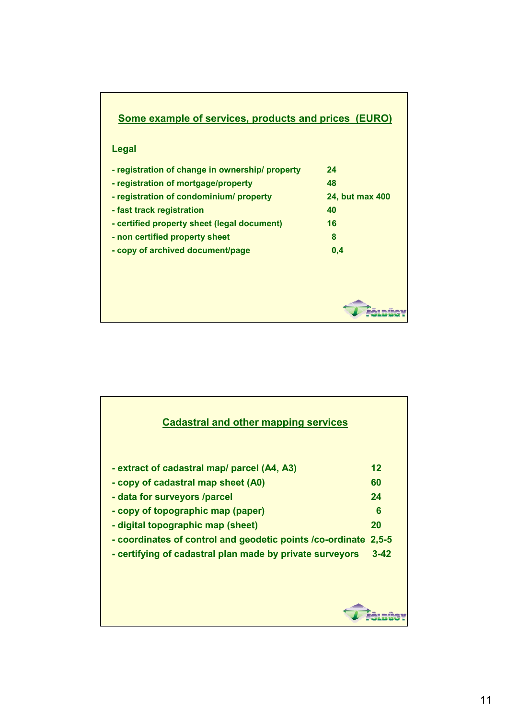| <b>Some example of services, products and prices (EURO)</b> |                 |  |
|-------------------------------------------------------------|-----------------|--|
| Legal                                                       |                 |  |
| - registration of change in ownership/ property             | 24              |  |
| - registration of mortgage/property                         | 48              |  |
| - registration of condominium/ property                     | 24, but max 400 |  |
| - fast track registration                                   | 40              |  |
| - certified property sheet (legal document)                 | 16              |  |
| - non certified property sheet                              | 8               |  |
| - copy of archived document/page                            | 0,4             |  |
|                                                             |                 |  |
|                                                             |                 |  |
|                                                             |                 |  |

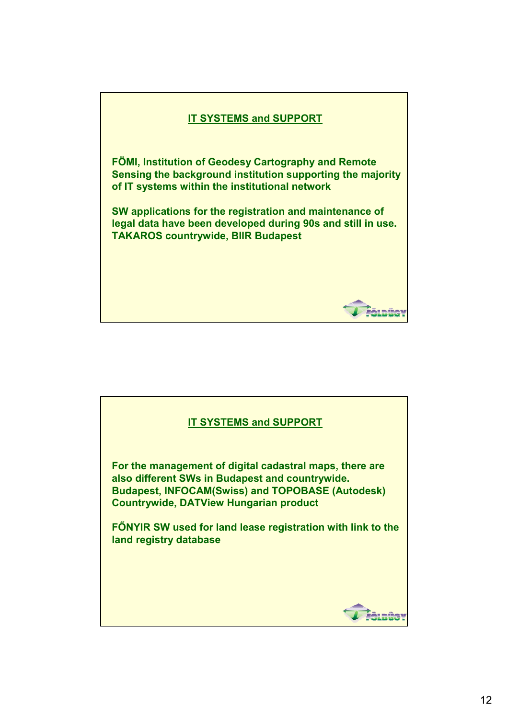

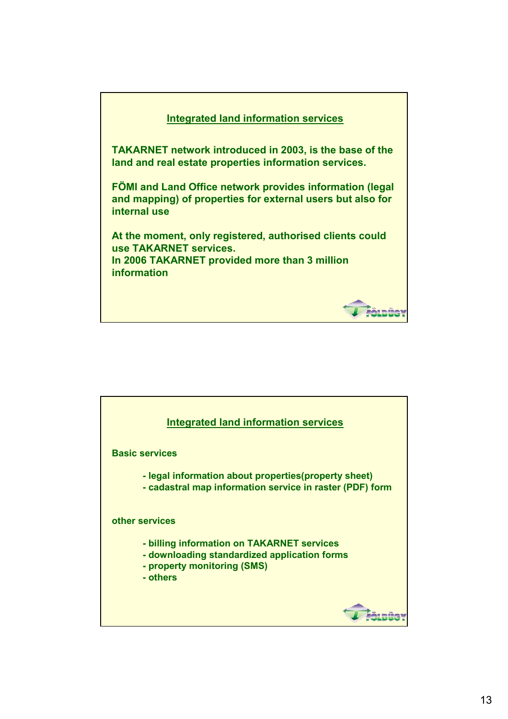